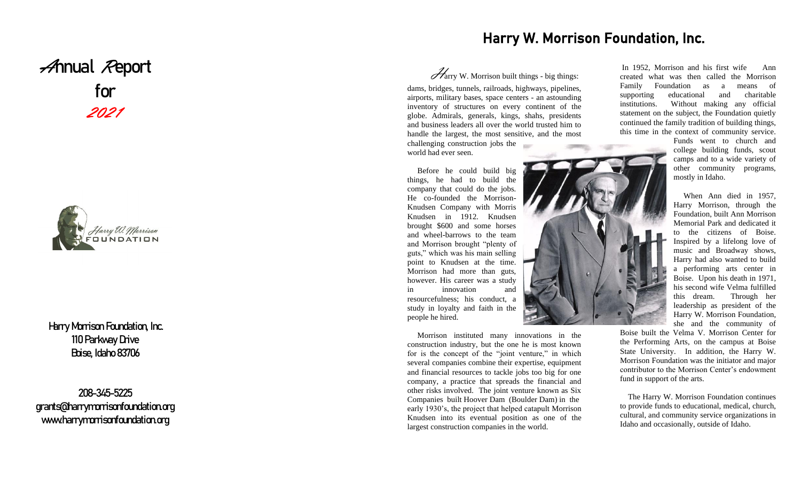## A**nnual** R**eport for**  2021



 Harry Morrison Foundation, Inc. 110 Parkway Drive Boise, Idaho 83706

208-345 -5225 grants@harrymorrisonfoundation.org www.harrymorrisonfoundation.org

## Harry W. Morrison Foundation, Inc.



dams, bridges, tunnels, railroads, highways, pipelines, airports, military bases, space centers - an astounding inventory of structures on every continent of the globe. Admirals, generals, kings, shahs, presidents and business leaders all over the world trusted him to handle the largest, the most sensitive, and the most challenging construction jobs the world had ever seen.

**Harry W. Morrison built things**<br>
Let  $\frac{1}{2}$  be the second the second the second the second the second the second that the second the second that the second that the second that the second that the second that the seco Before he could build big things, he had to build the company that could do the jobs. He co -founded the Morrison - Knudsen Company with Morris Knudsen in 1912. Knudsen brought \$600 and some horses and wheel -barrows to the team and Morrison brought "plenty of guts," which was his main selling point to Knudsen at the time. Morrison had more than guts, however. His career was a study in innovation and resourcefulness; his conduct, a study in loyalty and faith in the people he hired.

 Morrison instituted many innovations in the construction industry, but the one he is most known for is the concept of the "joint venture," in which several companies combine their expertise, equipment and financial resources to tackle jobs too big for one company, a practice that spreads the financial and other risks involved. The joint venture known as Six Companies built Hoover Dam (Boulder Dam) in the early 1930's, the project that helped catapult Morrison Knudsen into its eventual position as one of the largest construction companies in the world.

 In 1952, Morrison and his first wife Ann created what was then called the Morrison Family Foundation as a means of supporting educational and charitable institutions. Without making any official statement on the subject, the Foundation quietly continued the family tradition of building things, this time in the context of community service.

> Funds went to church and college building funds, scout camps and to a wide variety of other community programs, mostly in Idaho.

> When Ann died in 1957, Harry Morrison, through the Foundation, built Ann Morrison Memorial Park and dedicated it to the citizens of Boise. Inspired by a lifelong love of music and Broadway shows, Harry had also wanted to build a performing arts center in Boise. Upon his death in 1971, his second wife Velma fulfilled this dream. Through her leadership as president of the Harry W. Morrison Foundation, she and the community of

Boise built the Velma V. Morrison Center for the Performing Arts , on the campus at Boise State University. In addition, the Harry W. Morrison Foundation was the initiator and major contributor to the Morrison Center's endowment fund in support of the arts.

 The Harry W. Morrison Foundation continues to provide funds to educational, medical, church, cultural, and community service organizations in Idaho and occasionally, outside of Idaho.